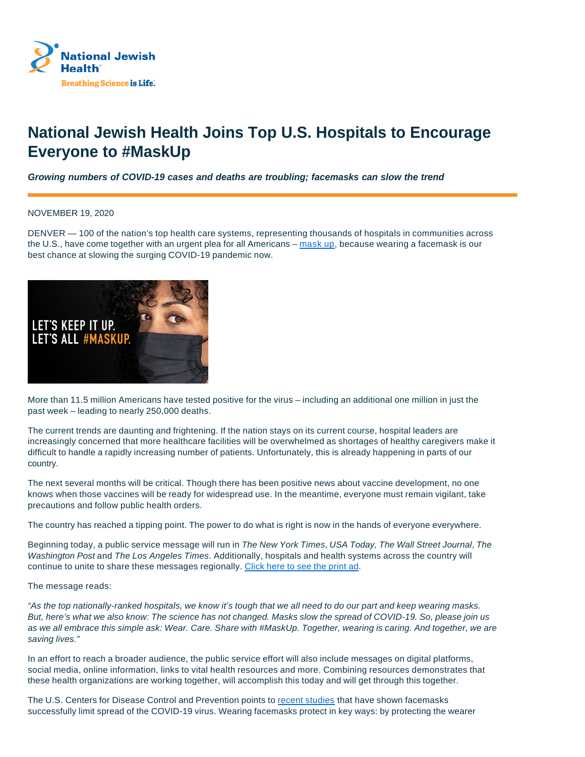

## **National Jewish Health Joins Top U.S. Hospitals to Encourage Everyone to #MaskUp**

**Growing numbers of COVID-19 cases and deaths are troubling; facemasks can slow the trend**

NOVEMBER 19, 2020

DENVER — 100 of the nation's top health care systems, representing thousands of hospitals in communities across the U.S., have come together with an urgent plea for all Americans – mask up, because wearing a facemask is our best chance at slowing the surging COVID-19 pandemic now.



More than 11.5 million Americans have tested positive for the virus – including an additional one million in just the past week – leading to nearly 250,000 deaths.

The current trends are daunting and frightening. If the nation stays on its current course, hospital leaders are increasingly concerned that more healthcare facilities will be overwhelmed as shortages of healthy caregivers make it difficult to handle a rapidly increasing number of patients. Unfortunately, this is already happening in parts of our country.

The next several months will be critical. Though there has been positive news about vaccine development, no one knows when those vaccines will be ready for widespread use. In the meantime, everyone must remain vigilant, take precautions and follow public health orders.

The country has reached a tipping point. The power to do what is right is now in the hands of everyone everywhere.

Beginning today, a public service message will run in The New York Times, USA Today, The Wall Street Journal, The Washington Post and The Los Angeles Times. Additionally, hospitals and health systems across the country will continue to unite to share these messages regionally. Click here to see the print ad.

The message reads:

"As the top nationally-ranked hospitals, we know it's tough that we all need to do our part and keep wearing masks. But, here's what we also know: The science has not changed. Masks slow the spread of COVID-19. So, please join us as we all embrace this simple ask: Wear. Care. Share with #MaskUp. Together, wearing is caring. And together, we are saving lives."

In an effort to reach a broader audience, the public service effort will also include messages on digital platforms, social media, online information, links to vital health resources and more. Combining resources demonstrates that these health organizations are working together, will accomplish this today and will get through this together.

The U.S. Centers for Disease Control and Prevention points to recent studies that have shown facemasks successfully limit spread of the COVID-19 virus. Wearing facemasks protect in key ways: by protecting the wearer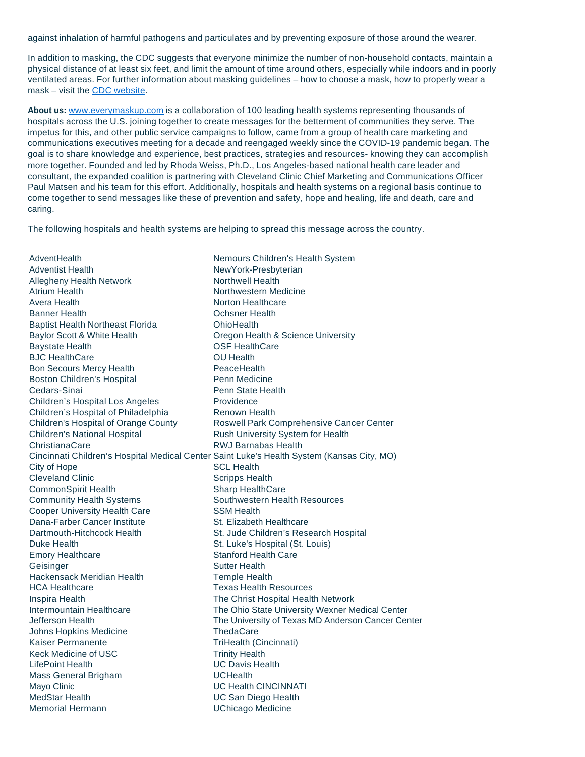against inhalation of harmful pathogens and particulates and by preventing exposure of those around the wearer.

In addition to masking, the CDC suggests that everyone minimize the number of non-household contacts, maintain a physical distance of at least six feet, and limit the amount of time around others, especially while indoors and in poorly ventilated areas. For further information about masking guidelines – how to choose a mask, how to properly wear a mask – visit the CDC website.

**About us:** www.everymaskup.com is a collaboration of 100 leading health systems representing thousands of hospitals across the U.S. joining together to create messages for the betterment of communities they serve. The impetus for this, and other public service campaigns to follow, came from a group of health care marketing and communications executives meeting for a decade and reengaged weekly since the COVID-19 pandemic began. The goal is to share knowledge and experience, best practices, strategies and resources- knowing they can accomplish more together. Founded and led by Rhoda Weiss, Ph.D., Los Angeles-based national health care leader and consultant, the expanded coalition is partnering with Cleveland Clinic Chief Marketing and Communications Officer Paul Matsen and his team for this effort. Additionally, hospitals and health systems on a regional basis continue to come together to send messages like these of prevention and safety, hope and healing, life and death, care and caring.

The following hospitals and health systems are helping to spread this message across the country.

**AdventHealth** Adventist Health Allegheny Health Network Atrium Health Avera Health Banner Health Baptist Health Northeast Florida Baylor Scott & White Health Baystate Health BJC HealthCare Bon Secours Mercy Health Boston Children's Hospital Cedars-Sinai Children's Hospital Los Angeles Children's Hospital of Philadelphia Children's Hospital of Orange County Children's National Hospital ChristianaCare Cincinnati Children's Hospital Medical Center Saint Luke's Health System (Kansas City, MO) City of Hope Cleveland Clinic CommonSpirit Health Community Health Systems Cooper University Health Care Dana-Farber Cancer Institute Dartmouth-Hitchcock Health Duke Health Emory Healthcare **Geisinger** Hackensack Meridian Health HCA Healthcare Inspira Health Intermountain Healthcare Jefferson Health Johns Hopkins Medicine Kaiser Permanente Keck Medicine of USC LifePoint Health Mass General Brigham Mayo Clinic MedStar Health Memorial Hermann Nemours Children's Health System NewYork-Presbyterian Northwell Health Northwestern Medicine Norton Healthcare Ochsner Health **OhioHealth** Oregon Health & Science University OSF HealthCare OU Health **PeaceHealth** Penn Medicine Penn State Health Providence Renown Health Roswell Park Comprehensive Cancer Center Rush University System for Health RWJ Barnabas Health SCL Health Scripps Health Sharp HealthCare Southwestern Health Resources SSM Health St. Elizabeth Healthcare St. Jude Children's Research Hospital St. Luke's Hospital (St. Louis) Stanford Health Care Sutter Health Temple Health Texas Health Resources The Christ Hospital Health Network The Ohio State University Wexner Medical Center The University of Texas MD Anderson Cancer Center **ThedaCare** TriHealth (Cincinnati) Trinity Health UC Davis Health **UCHealth** UC Health CINCINNATI UC San Diego Health UChicago Medicine